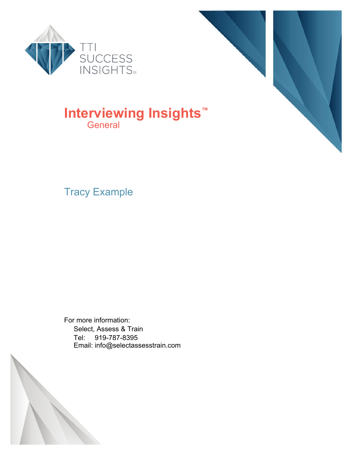



### **Interviewing Insights™ General**

Tracy Example

For more information: Select, Assess & Train Tel: 919-787-8395 Email: info@selectassesstrain.com

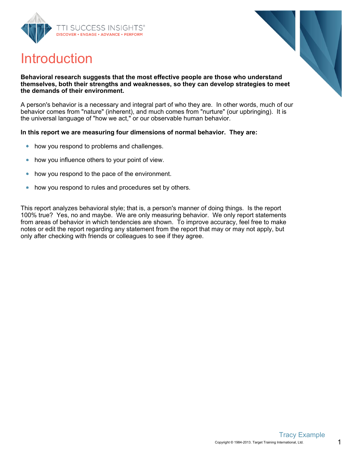





#### **Behavioral research suggests that the most effective people are those who understand themselves, both their strengths and weaknesses, so they can develop strategies to meet the demands of their environment.**

A person's behavior is a necessary and integral part of who they are. In other words, much of our behavior comes from "nature" (inherent), and much comes from "nurture" (our upbringing). It is the universal language of "how we act," or our observable human behavior.

#### **In this report we are measuring four dimensions of normal behavior. They are:**

- how you respond to problems and challenges.  $\bullet$
- how you influence others to your point of view.  $\bullet$
- how you respond to the pace of the environment.  $\bullet$
- how you respond to rules and procedures set by others.  $\bullet$

This report analyzes behavioral style; that is, a person's manner of doing things. Is the report 100% true? Yes, no and maybe. We are only measuring behavior. We only report statements from areas of behavior in which tendencies are shown. To improve accuracy, feel free to make notes or edit the report regarding any statement from the report that may or may not apply, but only after checking with friends or colleagues to see if they agree.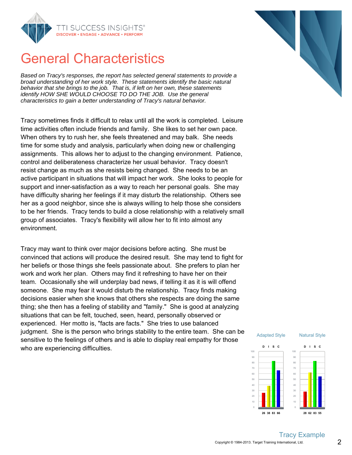

## General Characteristics

Based on Tracy's responses, the report has selected general statements to provide a broad understanding of her work style. These statements identify the basic natural behavior that she brings to the job. That is, if left on her own, these statements identify HOW SHE WOULD CHOOSE TO DO THE JOB. Use the general characteristics to gain a better understanding of Tracy's natural behavior.

Tracy sometimes finds it difficult to relax until all the work is completed. Leisure time activities often include friends and family. She likes to set her own pace. When others try to rush her, she feels threatened and may balk. She needs time for some study and analysis, particularly when doing new or challenging assignments. This allows her to adjust to the changing environment. Patience, control and deliberateness characterize her usual behavior. Tracy doesn't resist change as much as she resists being changed. She needs to be an active participant in situations that will impact her work. She looks to people for support and inner-satisfaction as a way to reach her personal goals. She may have difficulty sharing her feelings if it may disturb the relationship. Others see her as a good neighbor, since she is always willing to help those she considers to be her friends. Tracy tends to build a close relationship with a relatively small group of associates. Tracy's flexibility will allow her to fit into almost any environment.

Tracy may want to think over major decisions before acting. She must be convinced that actions will produce the desired result. She may tend to fight for her beliefs or those things she feels passionate about. She prefers to plan her work and work her plan. Others may find it refreshing to have her on their team. Occasionally she will underplay bad news, if telling it as it is will offend someone. She may fear it would disturb the relationship. Tracy finds making decisions easier when she knows that others she respects are doing the same thing; she then has a feeling of stability and "family." She is good at analyzing situations that can be felt, touched, seen, heard, personally observed or experienced. Her motto is, "facts are facts." She tries to use balanced judgment. She is the person who brings stability to the entire team. She can be sensitive to the feelings of others and is able to display real empathy for those who are experiencing difficulties.



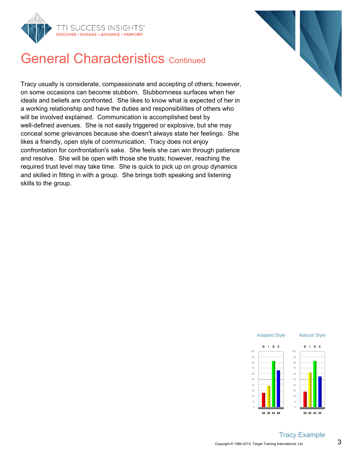



## **General Characteristics Continued**

Tracy usually is considerate, compassionate and accepting of others; however, on some occasions can become stubborn. Stubbornness surfaces when her ideals and beliefs are confronted. She likes to know what is expected of her in a working relationship and have the duties and responsibilities of others who will be involved explained. Communication is accomplished best by well-defined avenues. She is not easily triggered or explosive, but she may conceal some grievances because she doesn't always state her feelings. She likes a friendly, open style of communication. Tracy does not enjoy confrontation for confrontation's sake. She feels she can win through patience and resolve. She will be open with those she trusts; however, reaching the required trust level may take time. She is quick to pick up on group dynamics and skilled in fitting in with a group. She brings both speaking and listening skills to the group.



#### Tracy Example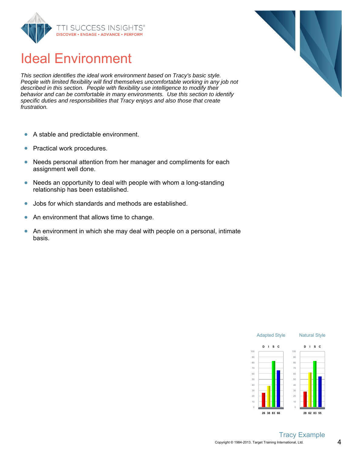

## Ideal Environment

This section identifies the ideal work environment based on Tracy's basic style. People with limited flexibility will find themselves uncomfortable working in any job not described in this section. People with flexibility use intelligence to modify their behavior and can be comfortable in many environments. Use this section to identify specific duties and responsibilities that Tracy enjoys and also those that create frustration.

- A stable and predictable environment.  $\bullet$
- Practical work procedures.  $\bullet$
- Needs personal attention from her manager and compliments for each  $\bullet$ assignment well done.
- $\bullet$ Needs an opportunity to deal with people with whom a long-standing relationship has been established.
- Jobs for which standards and methods are established.  $\bullet$
- An environment that allows time to change.  $\bullet$
- An environment in which she may deal with people on a personal, intimate  $\bullet$ basis.



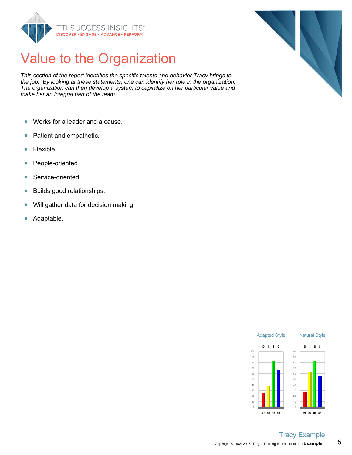

# Value to the Organization

This section of the report identifies the specific talents and behavior Tracy brings to the job. By looking at these statements, one can identify her role in the organization. The organization can then develop a system to capitalize on her particular value and make her an integral part of the team.

- Works for a leader and a cause.  $\bullet$
- Patient and empathetic.  $\bullet$
- Flexible.  $\bullet$
- People-oriented.  $\bullet$
- Service-oriented.  $\bullet$
- Builds good relationships.  $\bullet$
- $\bullet$ Will gather data for decision making.
- Adaptable.  $\bullet$



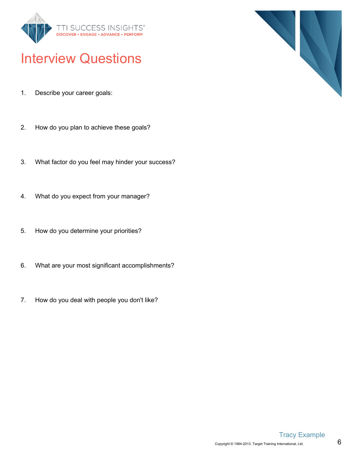

## Interview Questions

- 1. Describe your career goals:
- 2. How do you plan to achieve these goals?
- 3. What factor do you feel may hinder your success?
- 4. What do you expect from your manager?
- 5. How do you determine your priorities?
- 6. What are your most significant accomplishments?
- 7. How do you deal with people you don't like?



6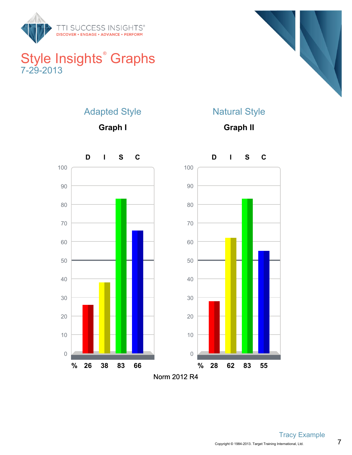

### Style Insights<sup>®</sup> Graphs 7-29-2013



#### Adapted Style

**Graph I**



**Graph II**

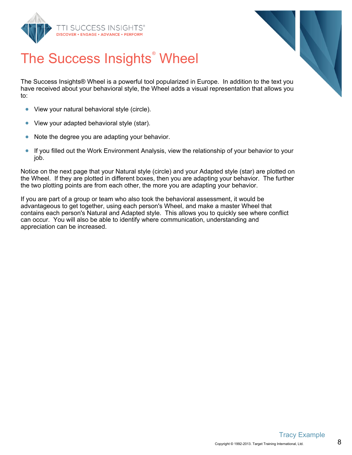



# The Success Insights<sup>®</sup> Wheel

The Success Insights® Wheel is a powerful tool popularized in Europe. In addition to the text you have received about your behavioral style, the Wheel adds a visual representation that allows you to:

- View your natural behavioral style (circle).  $\bullet$
- View your adapted behavioral style (star).  $\bullet$
- $\bullet$ Note the degree you are adapting your behavior.
- $\bullet$ If you filled out the Work Environment Analysis, view the relationship of your behavior to your job.

Notice on the next page that your Natural style (circle) and your Adapted style (star) are plotted on the Wheel. If they are plotted in different boxes, then you are adapting your behavior. The further the two plotting points are from each other, the more you are adapting your behavior.

If you are part of a group or team who also took the behavioral assessment, it would be advantageous to get together, using each person's Wheel, and make a master Wheel that contains each person's Natural and Adapted style. This allows you to quickly see where conflict can occur. You will also be able to identify where communication, understanding and appreciation can be increased.